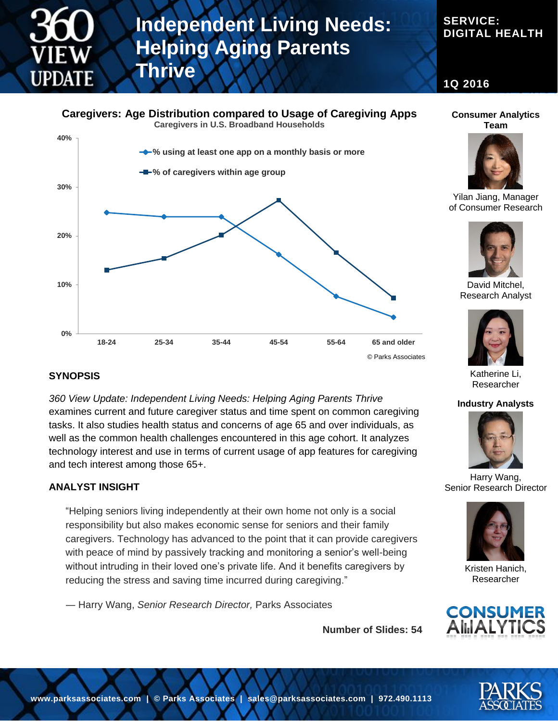

# **Independent Living Needs: Helping Aging Parents Thrive**

# **SERVICE: DIGITAL HEALTH**

**1Q 2016**

### **Caregivers: Age Distribution compared to Usage of Caregiving Apps**

**Caregivers in U.S. Broadband Households**



### **SYNOPSIS**

*360 View Update: Independent Living Needs: Helping Aging Parents Thrive* examines current and future caregiver status and time spent on common caregiving tasks. It also studies health status and concerns of age 65 and over individuals, as well as the common health challenges encountered in this age cohort. It analyzes technology interest and use in terms of current usage of app features for caregiving and tech interest among those 65+.

#### **ANALYST INSIGHT**

"Helping seniors living independently at their own home not only is a social responsibility but also makes economic sense for seniors and their family caregivers. Technology has advanced to the point that it can provide caregivers with peace of mind by passively tracking and monitoring a senior's well-being without intruding in their loved one's private life. And it benefits caregivers by reducing the stress and saving time incurred during caregiving."

― Harry Wang, *Senior Research Director,* Parks Associates

**Number of Slides: 54**



#### **Consumer Analytics Team**



Yilan Jiang, Manager of Consumer Research



David Mitchel, Research Analyst



Katherine Li, Researcher

#### **Industry Analysts**



Harry Wang, Senior Research Director



Kristen Hanich, Researcher

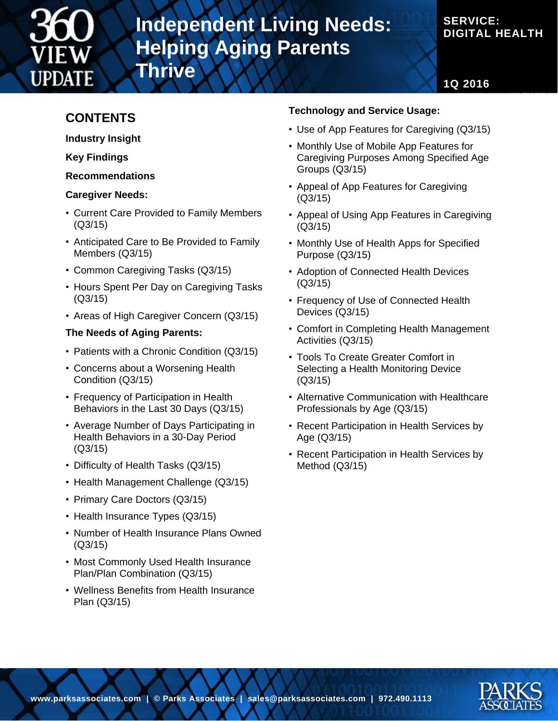

# **Independent Living Needs: Helping Aging Parents**

# **SERVICE: DIGITAL HEALTH**

**1Q 2016**

# **CONTENTS**

**Industry Insight**

**Key Findings**

**Recommendations**

### **Caregiver Needs:**

• Current Care Provided to Family Members (Q3/15)

**Thrive**

- Anticipated Care to Be Provided to Family Members (Q3/15)
- Common Caregiving Tasks (Q3/15)
- Hours Spent Per Day on Caregiving Tasks (Q3/15)
- Areas of High Caregiver Concern (Q3/15)

## **The Needs of Aging Parents:**

- Patients with a Chronic Condition (Q3/15)
- Concerns about a Worsening Health Condition (Q3/15)
- Frequency of Participation in Health Behaviors in the Last 30 Days (Q3/15)
- Average Number of Days Participating in Health Behaviors in a 30-Day Period (Q3/15)
- Difficulty of Health Tasks (Q3/15)
- Health Management Challenge (Q3/15)
- Primary Care Doctors (Q3/15)
- Health Insurance Types (Q3/15)
- Number of Health Insurance Plans Owned (Q3/15)
- Most Commonly Used Health Insurance Plan/Plan Combination (Q3/15)
- Wellness Benefits from Health Insurance Plan (Q3/15)

## **Technology and Service Usage:**

- Use of App Features for Caregiving (Q3/15)
- Monthly Use of Mobile App Features for Caregiving Purposes Among Specified Age Groups (Q3/15)
- Appeal of App Features for Caregiving (Q3/15)
- Appeal of Using App Features in Caregiving (Q3/15)
- Monthly Use of Health Apps for Specified Purpose (Q3/15)
- Adoption of Connected Health Devices (Q3/15)
- Frequency of Use of Connected Health Devices (Q3/15)
- Comfort in Completing Health Management Activities (Q3/15)
- Tools To Create Greater Comfort in Selecting a Health Monitoring Device (Q3/15)
- Alternative Communication with Healthcare Professionals by Age (Q3/15)
- Recent Participation in Health Services by Age (Q3/15)
- Recent Participation in Health Services by Method (Q3/15)